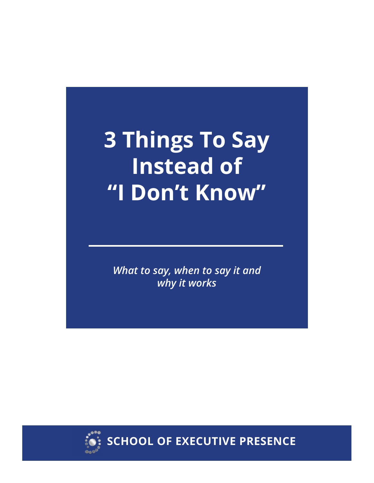# **3 Things To Say Instead of "I Don't Know"**

*What to say, when to say it and why it works*



**SCHOOL OF EXECUTIVE PRESENCE**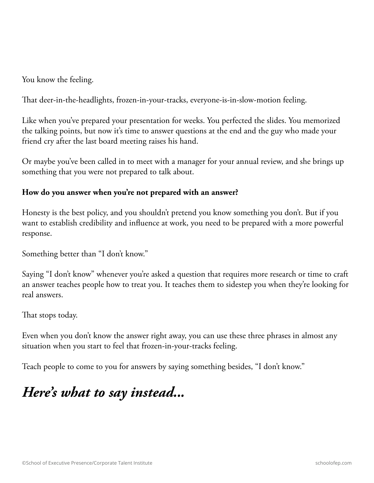You know the feeling.

That deer-in-the-headlights, frozen-in-your-tracks, everyone-is-in-slow-motion feeling.

Like when you've prepared your presentation for weeks. You perfected the slides. You memorized the talking points, but now it's time to answer questions at the end and the guy who made your friend cry after the last board meeting raises his hand.

Or maybe you've been called in to meet with a manager for your annual review, and she brings up something that you were not prepared to talk about.

#### **How do you answer when you're not prepared with an answer?**

Honesty is the best policy, and you shouldn't pretend you know something you don't. But if you want to establish credibility and influence at work, you need to be prepared with a more powerful response.

Something better than "I don't know."

Saying "I don't know" whenever you're asked a question that requires more research or time to craft an answer teaches people how to treat you. It teaches them to sidestep you when they're looking for real answers.

That stops today.

Even when you don't know the answer right away, you can use these three phrases in almost any situation when you start to feel that frozen-in-your-tracks feeling.

Teach people to come to you for answers by saying something besides, "I don't know."

## *Here's what to say instead...*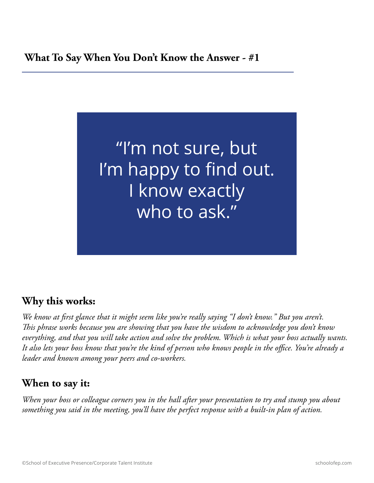#### **What To Say When You Don't Know the Answer - #1**



#### **Why this works:**

*We know at first glance that it might seem like you're really saying "I don't know." But you aren't. This phrase works because you are showing that you have the wisdom to acknowledge you don't know everything, and that you will take action and solve the problem. Which is what your boss actually wants. It also lets your boss know that you're the kind of person who knows people in the office. You're already a leader and known among your peers and co-workers.*

#### **When to say it:**

*When your boss or colleague corners you in the hall after your presentation to try and stump you about something you said in the meeting, you'll have the perfect response with a built-in plan of action.*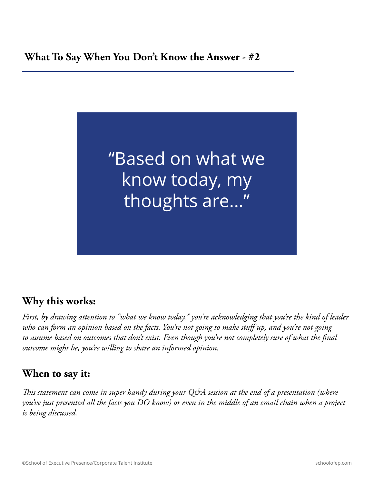#### **What To Say When You Don't Know the Answer - #2**



#### **Why this works:**

*First, by drawing attention to "what we know today," you're acknowledging that you're the kind of leader who can form an opinion based on the facts. You're not going to make stuff up, and you're not going to assume based on outcomes that don't exist. Even though you're not completely sure of what the final outcome might be, you're willing to share an informed opinion.*

### **When to say it:**

*This statement can come in super handy during your Q&A session at the end of a presentation (where you've just presented all the facts you DO know) or even in the middle of an email chain when a project is being discussed.*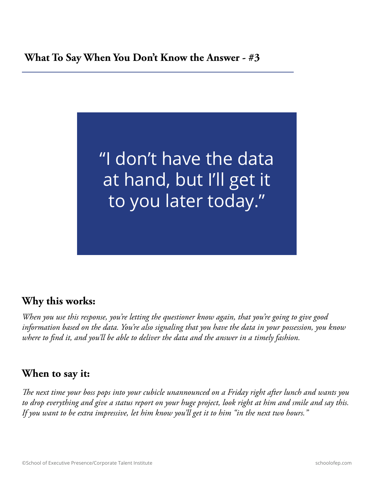#### **What To Say When You Don't Know the Answer - #3**



#### **Why this works:**

*When you use this response, you're letting the questioner know again, that you're going to give good information based on the data. You're also signaling that you have the data in your possession, you know where to find it, and you'll be able to deliver the data and the answer in a timely fashion.*

### **When to say it:**

*The next time your boss pops into your cubicle unannounced on a Friday right after lunch and wants you to drop everything and give a status report on your huge project, look right at him and smile and say this. If you want to be extra impressive, let him know you'll get it to him "in the next two hours."*